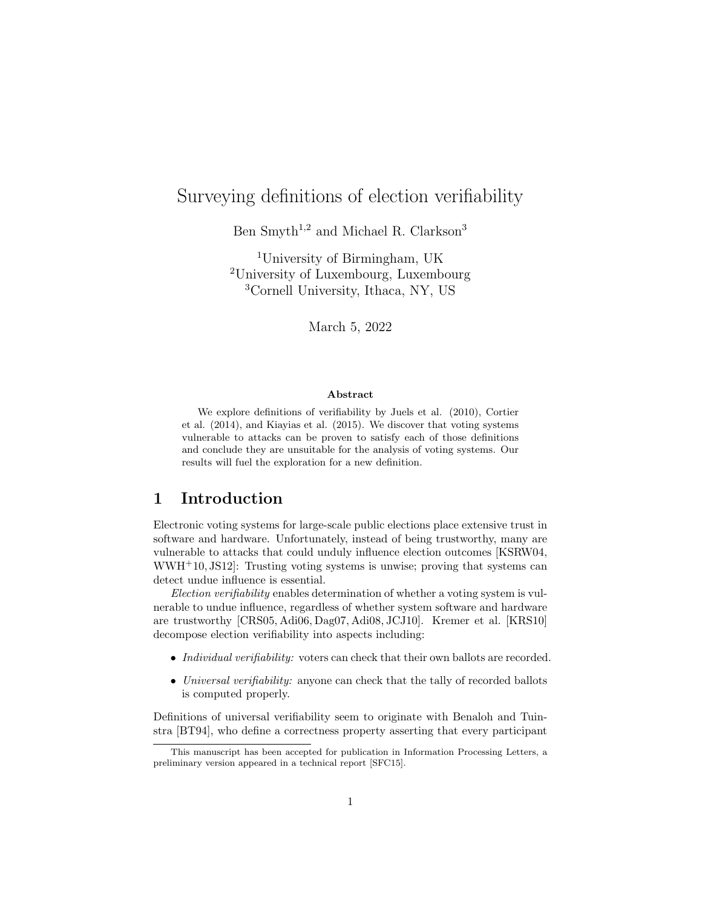# Surveying definitions of election verifiability

Ben Smyth<sup>1,2</sup> and Michael R. Clarkson<sup>3</sup>

<sup>1</sup>University of Birmingham, UK <sup>2</sup>University of Luxembourg, Luxembourg <sup>3</sup>Cornell University, Ithaca, NY, US

March 5, 2022

#### Abstract

We explore definitions of verifiability by Juels et al. (2010), Cortier et al. (2014), and Kiayias et al. (2015). We discover that voting systems vulnerable to attacks can be proven to satisfy each of those definitions and conclude they are unsuitable for the analysis of voting systems. Our results will fuel the exploration for a new definition.

## 1 Introduction

Electronic voting systems for large-scale public elections place extensive trust in software and hardware. Unfortunately, instead of being trustworthy, many are vulnerable to attacks that could unduly influence election outcomes [KSRW04, WWH+10, JS12]: Trusting voting systems is unwise; proving that systems can detect undue influence is essential.

Election verifiability enables determination of whether a voting system is vulnerable to undue influence, regardless of whether system software and hardware are trustworthy [CRS05, Adi06, Dag07, Adi08, JCJ10]. Kremer et al. [KRS10] decompose election verifiability into aspects including:

- Individual verifiability: voters can check that their own ballots are recorded.
- Universal verifiability: anyone can check that the tally of recorded ballots is computed properly.

Definitions of universal verifiability seem to originate with Benaloh and Tuinstra [BT94], who define a correctness property asserting that every participant

This manuscript has been accepted for publication in Information Processing Letters, a preliminary version appeared in a technical report [SFC15].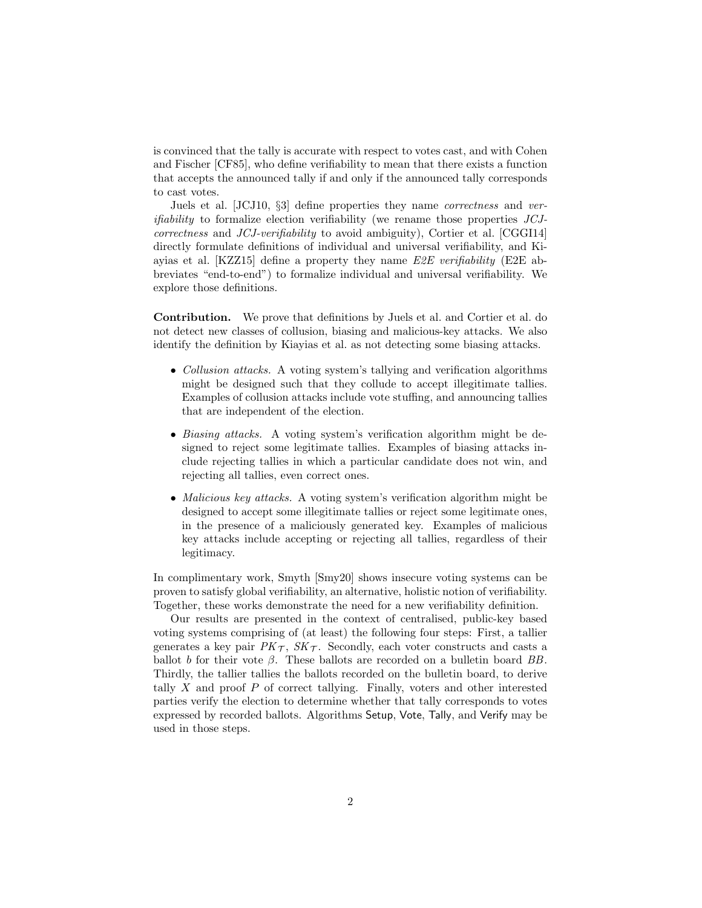is convinced that the tally is accurate with respect to votes cast, and with Cohen and Fischer [CF85], who define verifiability to mean that there exists a function that accepts the announced tally if and only if the announced tally corresponds to cast votes.

Juels et al. [JCJ10, §3] define properties they name correctness and ver*ifiability* to formalize election verifiability (we rename those properties  $JCJ$ correctness and JCJ-verifiability to avoid ambiguity), Cortier et al. [CGGI14] directly formulate definitions of individual and universal verifiability, and Kiayias et al. [KZZ15] define a property they name  $E2E$  verifiability (E2E abbreviates "end-to-end") to formalize individual and universal verifiability. We explore those definitions.

Contribution. We prove that definitions by Juels et al. and Cortier et al. do not detect new classes of collusion, biasing and malicious-key attacks. We also identify the definition by Kiayias et al. as not detecting some biasing attacks.

- Collusion attacks. A voting system's tallying and verification algorithms might be designed such that they collude to accept illegitimate tallies. Examples of collusion attacks include vote stuffing, and announcing tallies that are independent of the election.
- Biasing attacks. A voting system's verification algorithm might be designed to reject some legitimate tallies. Examples of biasing attacks include rejecting tallies in which a particular candidate does not win, and rejecting all tallies, even correct ones.
- Malicious key attacks. A voting system's verification algorithm might be designed to accept some illegitimate tallies or reject some legitimate ones, in the presence of a maliciously generated key. Examples of malicious key attacks include accepting or rejecting all tallies, regardless of their legitimacy.

In complimentary work, Smyth [Smy20] shows insecure voting systems can be proven to satisfy global verifiability, an alternative, holistic notion of verifiability. Together, these works demonstrate the need for a new verifiability definition.

Our results are presented in the context of centralised, public-key based voting systems comprising of (at least) the following four steps: First, a tallier generates a key pair  $PK_{\mathcal{T}}$ ,  $SK_{\mathcal{T}}$ . Secondly, each voter constructs and casts a ballot b for their vote  $\beta$ . These ballots are recorded on a bulletin board BB. Thirdly, the tallier tallies the ballots recorded on the bulletin board, to derive tally  $X$  and proof  $P$  of correct tallying. Finally, voters and other interested parties verify the election to determine whether that tally corresponds to votes expressed by recorded ballots. Algorithms Setup, Vote, Tally, and Verify may be used in those steps.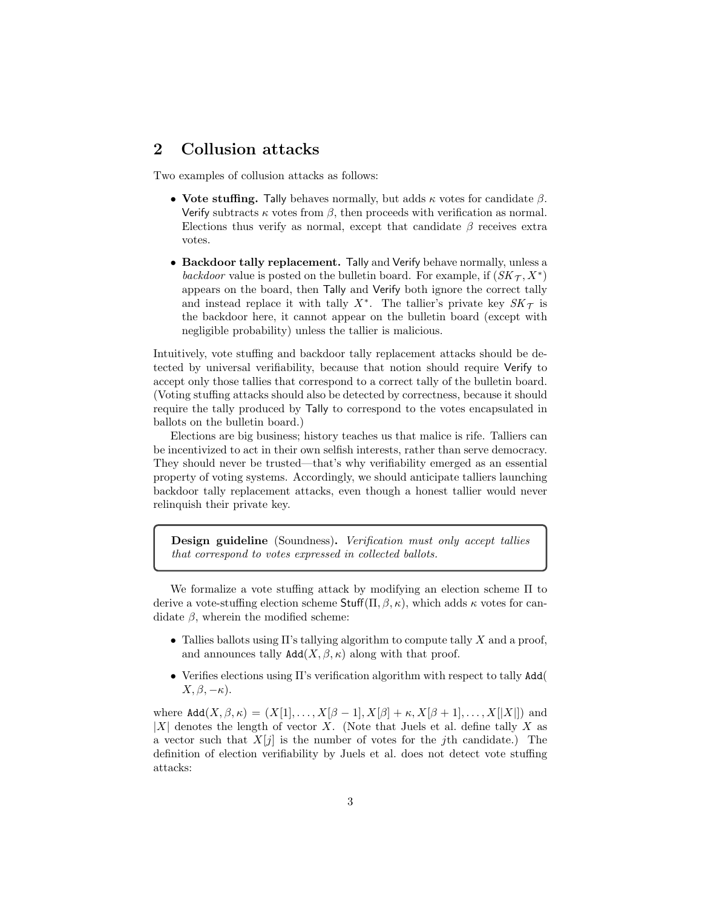## 2 Collusion attacks

Two examples of collusion attacks as follows:

- Vote stuffing. Tally behaves normally, but adds  $\kappa$  votes for candidate  $\beta$ . Verify subtracts  $\kappa$  votes from  $\beta$ , then proceeds with verification as normal. Elections thus verify as normal, except that candidate  $\beta$  receives extra votes.
- Backdoor tally replacement. Tally and Verify behave normally, unless a backdoor value is posted on the bulletin board. For example, if  $(SK_{\mathcal{T}}, X^*)$ appears on the board, then Tally and Verify both ignore the correct tally and instead replace it with tally  $X^*$ . The tallier's private key  $SK_{\mathcal{T}}$  is the backdoor here, it cannot appear on the bulletin board (except with negligible probability) unless the tallier is malicious.

Intuitively, vote stuffing and backdoor tally replacement attacks should be detected by universal verifiability, because that notion should require Verify to accept only those tallies that correspond to a correct tally of the bulletin board. (Voting stuffing attacks should also be detected by correctness, because it should require the tally produced by Tally to correspond to the votes encapsulated in ballots on the bulletin board.)

Elections are big business; history teaches us that malice is rife. Talliers can be incentivized to act in their own selfish interests, rather than serve democracy. They should never be trusted—that's why verifiability emerged as an essential property of voting systems. Accordingly, we should anticipate talliers launching backdoor tally replacement attacks, even though a honest tallier would never relinquish their private key.

Design guideline (Soundness). Verification must only accept tallies that correspond to votes expressed in collected ballots.

We formalize a vote stuffing attack by modifying an election scheme Π to derive a vote-stuffing election scheme  $\mathsf{Stuff}(\Pi, \beta, \kappa)$ , which adds  $\kappa$  votes for candidate  $\beta$ , wherein the modified scheme:

- Tallies ballots using  $\Pi$ 's tallying algorithm to compute tally X and a proof, and announces tally  $\text{Add}(X, \beta, \kappa)$  along with that proof.
- Verifies elections using  $\Pi$ 's verification algorithm with respect to tally Add(  $X, \beta, -\kappa$ ).

where  $\text{Add}(X, \beta, \kappa) = (X[1], \ldots, X[\beta-1], X[\beta] + \kappa, X[\beta+1], \ldots, X[[X]])$  and |X| denotes the length of vector X. (Note that Juels et al. define tally X as a vector such that  $X[i]$  is the number of votes for the *j*th candidate.) The definition of election verifiability by Juels et al. does not detect vote stuffing attacks: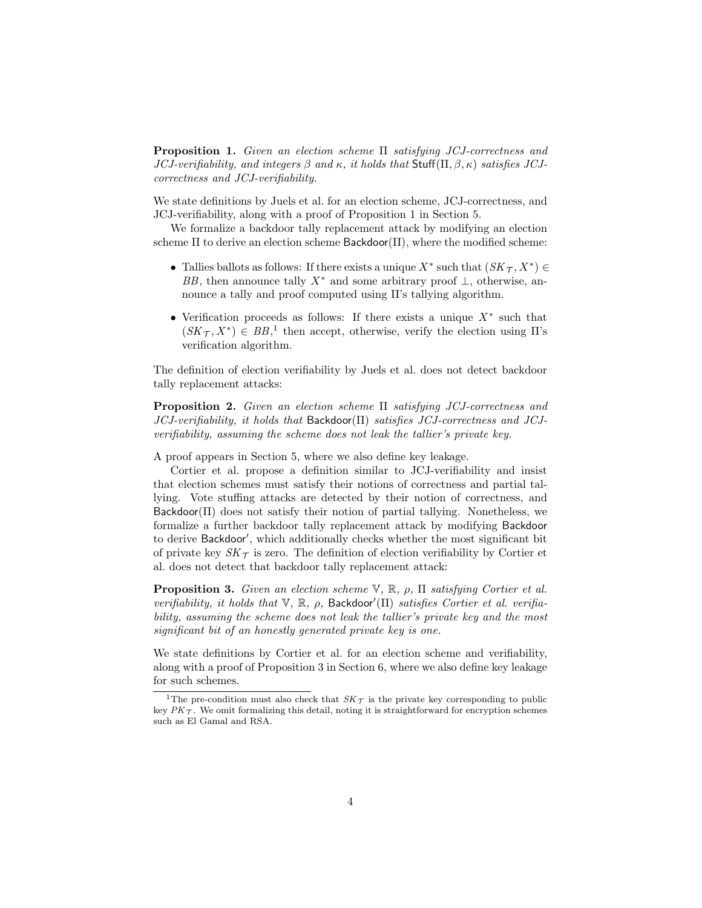**Proposition 1.** Given an election scheme  $\Pi$  satisfying JCJ-correctness and  $JCI-verifiability$ , and integers  $\beta$  and  $\kappa$ , it holds that  $\mathsf{Stuff}(\Pi,\beta,\kappa)$  satisfies JCJcorrectness and JCJ-verifiability.

We state definitions by Juels et al. for an election scheme, JCJ-correctness, and JCJ-verifiability, along with a proof of Proposition 1 in Section 5.

We formalize a backdoor tally replacement attack by modifying an election scheme  $\Pi$  to derive an election scheme Backdoor( $\Pi$ ), where the modified scheme:

- Tallies ballots as follows: If there exists a unique  $X^*$  such that  $(SK_{\mathcal{T}}, X^*) \in$ BB, then announce tally  $X^*$  and some arbitrary proof  $\perp$ , otherwise, announce a tally and proof computed using Π's tallying algorithm.
- Verification proceeds as follows: If there exists a unique  $X^*$  such that  $(SK_{\mathcal{T}}, X^*) \in BB$ <sup>1</sup>, then accept, otherwise, verify the election using  $\Pi$ 's verification algorithm.

The definition of election verifiability by Juels et al. does not detect backdoor tally replacement attacks:

Proposition 2. Given an election scheme Π satisfying JCJ-correctness and  $JCI-verifiability$ , it holds that Backdoor( $\Pi$ ) satisfies JCJ-correctness and JCJverifiability, assuming the scheme does not leak the tallier's private key.

A proof appears in Section 5, where we also define key leakage.

Cortier et al. propose a definition similar to JCJ-verifiability and insist that election schemes must satisfy their notions of correctness and partial tallying. Vote stuffing attacks are detected by their notion of correctness, and  $Backdoor(\Pi)$  does not satisfy their notion of partial tallying. Nonetheless, we formalize a further backdoor tally replacement attack by modifying Backdoor to derive Backdoor', which additionally checks whether the most significant bit of private key  $SK_{\tau}$  is zero. The definition of election verifiability by Cortier et al. does not detect that backdoor tally replacement attack:

**Proposition 3.** Given an election scheme  $\mathbb{V}$ ,  $\mathbb{R}$ ,  $\rho$ ,  $\Pi$  satisfying Cortier et al. verifiability, it holds that  $\mathbb{V}$ ,  $\mathbb{R}$ ,  $\rho$ , Backdoor'( $\Pi$ ) satisfies Cortier et al. verifiability, assuming the scheme does not leak the tallier's private key and the most significant bit of an honestly generated private key is one.

We state definitions by Cortier et al. for an election scheme and verifiability, along with a proof of Proposition 3 in Section 6, where we also define key leakage for such schemes.

<sup>&</sup>lt;sup>1</sup>The pre-condition must also check that  $SK_{\mathcal{T}}$  is the private key corresponding to public key  $PK_{\mathcal{T}}$ . We omit formalizing this detail, noting it is straightforward for encryption schemes such as El Gamal and RSA.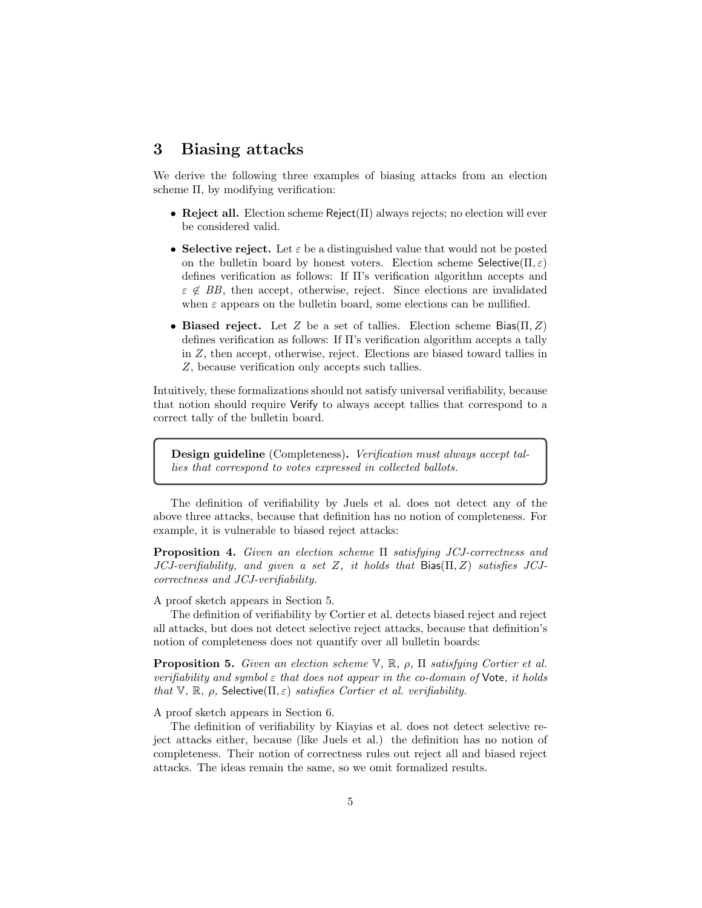## 3 Biasing attacks

We derive the following three examples of biasing attacks from an election scheme Π, by modifying verification:

- Reject all. Election scheme Reject(Π) always rejects; no election will ever be considered valid.
- Selective reject. Let  $\varepsilon$  be a distinguished value that would not be posted on the bulletin board by honest voters. Election scheme Selective( $\Pi, \varepsilon$ ) defines verification as follows: If Π's verification algorithm accepts and  $\varepsilon \notin BB$ , then accept, otherwise, reject. Since elections are invalidated when  $\varepsilon$  appears on the bulletin board, some elections can be nullified.
- Biased reject. Let Z be a set of tallies. Election scheme Bias $(\Pi, Z)$ defines verification as follows: If Π's verification algorithm accepts a tally in Z, then accept, otherwise, reject. Elections are biased toward tallies in Z, because verification only accepts such tallies.

Intuitively, these formalizations should not satisfy universal verifiability, because that notion should require Verify to always accept tallies that correspond to a correct tally of the bulletin board.

Design guideline (Completeness). Verification must always accept tallies that correspond to votes expressed in collected ballots.

The definition of verifiability by Juels et al. does not detect any of the above three attacks, because that definition has no notion of completeness. For example, it is vulnerable to biased reject attacks:

Proposition 4. Given an election scheme Π satisfying JCJ-correctness and  $JCI-verifiability$ , and given a set Z, it holds that Bias $(\Pi, Z)$  satisfies JCJcorrectness and JCJ-verifiability.

A proof sketch appears in Section 5.

The definition of verifiability by Cortier et al. detects biased reject and reject all attacks, but does not detect selective reject attacks, because that definition's notion of completeness does not quantify over all bulletin boards:

**Proposition 5.** Given an election scheme  $V$ ,  $\mathbb{R}$ ,  $\rho$ ,  $\Pi$  satisfying Cortier et al. verifiability and symbol  $\varepsilon$  that does not appear in the co-domain of  $\forall$ ote, it holds that V, R,  $\rho$ , Selective( $\Pi, \varepsilon$ ) satisfies Cortier et al. verifiability.

A proof sketch appears in Section 6.

The definition of verifiability by Kiayias et al. does not detect selective reject attacks either, because (like Juels et al.) the definition has no notion of completeness. Their notion of correctness rules out reject all and biased reject attacks. The ideas remain the same, so we omit formalized results.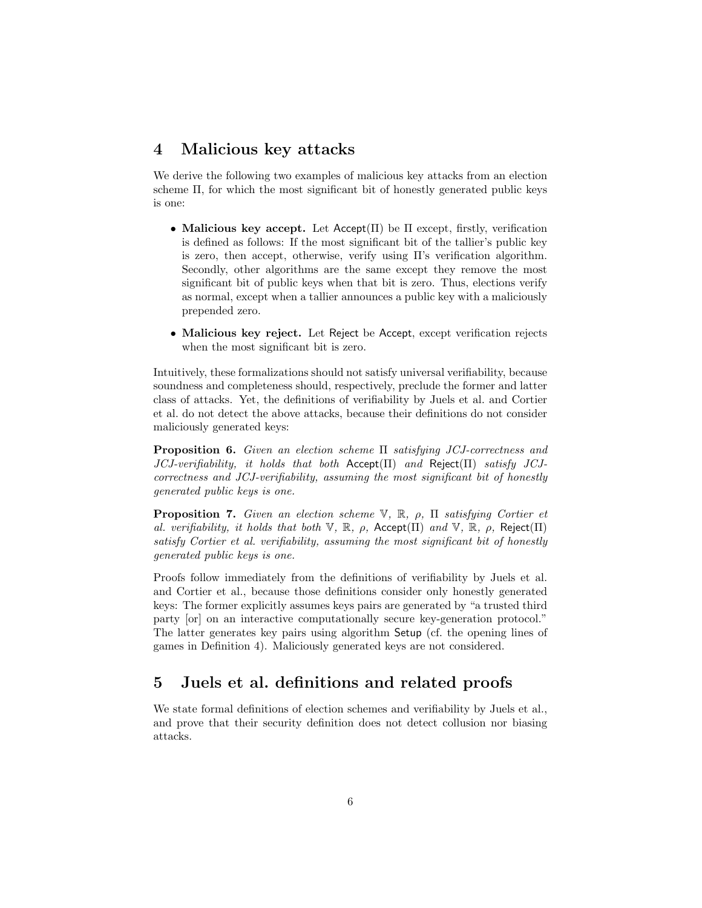## 4 Malicious key attacks

We derive the following two examples of malicious key attacks from an election scheme Π, for which the most significant bit of honestly generated public keys is one:

- Malicious key accept. Let  $Accept(\Pi)$  be  $\Pi$  except, firstly, verification is defined as follows: If the most significant bit of the tallier's public key is zero, then accept, otherwise, verify using  $\Pi$ 's verification algorithm. Secondly, other algorithms are the same except they remove the most significant bit of public keys when that bit is zero. Thus, elections verify as normal, except when a tallier announces a public key with a maliciously prepended zero.
- Malicious key reject. Let Reject be Accept, except verification rejects when the most significant bit is zero.

Intuitively, these formalizations should not satisfy universal verifiability, because soundness and completeness should, respectively, preclude the former and latter class of attacks. Yet, the definitions of verifiability by Juels et al. and Cortier et al. do not detect the above attacks, because their definitions do not consider maliciously generated keys:

Proposition 6. Given an election scheme Π satisfying JCJ-correctness and  $JCI-verifiability$ , it holds that both  $Accept(\Pi)$  and  $Reject(\Pi)$  satisfy JCJcorrectness and JCJ-verifiability, assuming the most significant bit of honestly generated public keys is one.

**Proposition 7.** Given an election scheme  $V$ ,  $\mathbb{R}$ ,  $\rho$ ,  $\Pi$  satisfying Cortier et al. verifiability, it holds that both  $\mathbb{V}$ ,  $\mathbb{R}$ ,  $\rho$ , Accept( $\Pi$ ) and  $\mathbb{V}$ ,  $\mathbb{R}$ ,  $\rho$ , Reject( $\Pi$ ) satisfy Cortier et al. verifiability, assuming the most significant bit of honestly generated public keys is one.

Proofs follow immediately from the definitions of verifiability by Juels et al. and Cortier et al., because those definitions consider only honestly generated keys: The former explicitly assumes keys pairs are generated by "a trusted third party [or] on an interactive computationally secure key-generation protocol." The latter generates key pairs using algorithm Setup (cf. the opening lines of games in Definition 4). Maliciously generated keys are not considered.

## 5 Juels et al. definitions and related proofs

We state formal definitions of election schemes and verifiability by Juels et al., and prove that their security definition does not detect collusion nor biasing attacks.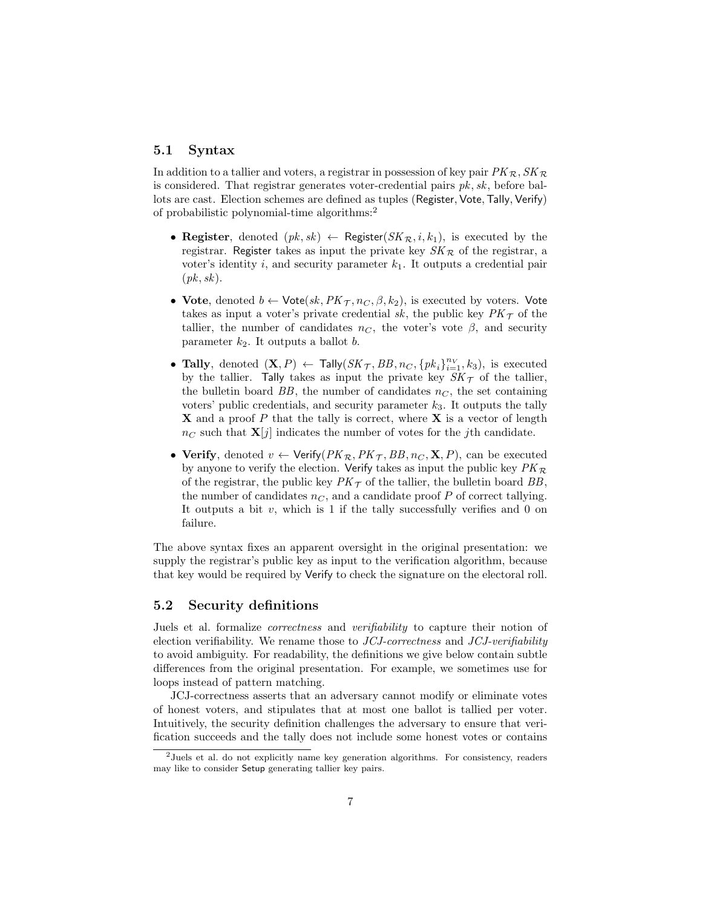### 5.1 Syntax

In addition to a tallier and voters, a registrar in possession of key pair  $PK_{\mathcal{R}}$ ,  $SK_{\mathcal{R}}$ is considered. That registrar generates voter-credential pairs  $pk, sk$ , before ballots are cast. Election schemes are defined as tuples (Register, Vote, Tally, Verify) of probabilistic polynomial-time algorithms:<sup>2</sup>

- Register, denoted  $(pk, sk) \leftarrow$  Register $(SK_{\mathcal{R}}, i, k_1)$ , is executed by the registrar. Register takes as input the private key  $SK_{\mathcal{R}}$  of the registrar, a voter's identity  $i$ , and security parameter  $k_1$ . It outputs a credential pair  $(pk, sk).$
- Vote, denoted  $b \leftarrow \text{Vote}(sk, PK_{\mathcal{T}}, n_C, \beta, k_2)$ , is executed by voters. Vote takes as input a voter's private credential sk, the public key  $PK<sub>T</sub>$  of the tallier, the number of candidates  $n<sub>C</sub>$ , the voter's vote  $\beta$ , and security parameter  $k_2$ . It outputs a ballot b.
- Tally, denoted  $(X, P) \leftarrow \text{Tally}(SK_{\mathcal{T}}, BB, n_C, \{pk_i\}_{i=1}^{n_V}, k_3)$ , is executed by the tallier. Tally takes as input the private key  $SK_{\mathcal{T}}$  of the tallier, the bulletin board  $BB$ , the number of candidates  $n<sub>C</sub>$ , the set containing voters' public credentials, and security parameter  $k_3$ . It outputs the tally  $X$  and a proof P that the tally is correct, where  $X$  is a vector of length  $n<sub>C</sub>$  such that  $X[j]$  indicates the number of votes for the j<sup>th</sup> candidate.
- Verify, denoted  $v \leftarrow$  Verify( $PK_{\mathcal{R}}, PK_{\mathcal{T}}, BB, n_C, \mathbf{X}, P$ ), can be executed by anyone to verify the election. Verify takes as input the public key  $PK_{\mathcal{R}}$ of the registrar, the public key  $PK_{\mathcal{T}}$  of the tallier, the bulletin board BB, the number of candidates  $n<sub>C</sub>$ , and a candidate proof P of correct tallying. It outputs a bit  $v$ , which is 1 if the tally successfully verifies and 0 on failure.

The above syntax fixes an apparent oversight in the original presentation: we supply the registrar's public key as input to the verification algorithm, because that key would be required by Verify to check the signature on the electoral roll.

#### 5.2 Security definitions

Juels et al. formalize correctness and verifiability to capture their notion of election verifiability. We rename those to JCJ-correctness and JCJ-verifiability to avoid ambiguity. For readability, the definitions we give below contain subtle differences from the original presentation. For example, we sometimes use for loops instead of pattern matching.

JCJ-correctness asserts that an adversary cannot modify or eliminate votes of honest voters, and stipulates that at most one ballot is tallied per voter. Intuitively, the security definition challenges the adversary to ensure that verification succeeds and the tally does not include some honest votes or contains

<sup>2</sup>Juels et al. do not explicitly name key generation algorithms. For consistency, readers may like to consider Setup generating tallier key pairs.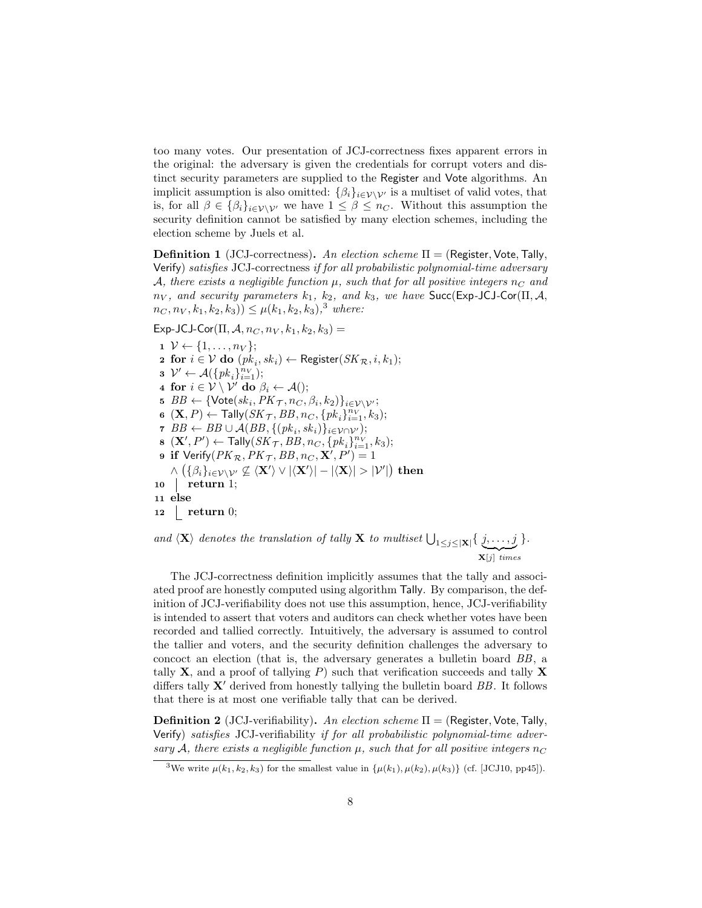too many votes. Our presentation of JCJ-correctness fixes apparent errors in the original: the adversary is given the credentials for corrupt voters and distinct security parameters are supplied to the Register and Vote algorithms. An implicit assumption is also omitted:  $\{\beta_i\}_{i\in\mathcal{V}\setminus\mathcal{V}'}$  is a multiset of valid votes, that is, for all  $\beta \in {\beta_i}_{i \in V\setminus V'}$  we have  $1 \leq \beta \leq n_C$ . Without this assumption the security definition cannot be satisfied by many election schemes, including the election scheme by Juels et al.

**Definition 1** (JCJ-correctness). An election scheme  $\Pi$  = (Register, Vote, Tally, Verify) satisfies JCJ-correctness if for all probabilistic polynomial-time adversary A, there exists a negligible function  $\mu$ , such that for all positive integers  $n<sub>C</sub>$  and  $n_V$ , and security parameters  $k_1$ ,  $k_2$ , and  $k_3$ , we have Succ(Exp-JCJ-Cor( $\Pi, A$ ,  $(n_C, n_V, k_1, k_2, k_3)) \leq \mu(k_1, k_2, k_3),$ <sup>3</sup> where:

Exp-JCJ-Cor( $\Pi$ ,  $\mathcal{A}$ ,  $n_C$ ,  $n_V$ ,  $k_1$ ,  $k_2$ ,  $k_3$ ) =

 $1 \mathcal{V} \leftarrow \{1, \ldots, n_V\};$ **2** for  $i \in \mathcal{V}$  do  $(pk_i, sk_i) \leftarrow \text{Register}(SK_{\mathcal{R}}, i, k_1);$  $\mathfrak{p} \mathcal{V}' \leftarrow \mathcal{A}(\{pk_i\}_{i=1}^{n_V});$ 4 for  $i \in \mathcal{V} \setminus \mathcal{V}'$  do  $\beta_i \leftarrow \mathcal{A}($ );  $\mathfrak{s} \ \ B B \leftarrow \{\mathsf{Vote}(sk_i, PK_{\mathcal{T}}, n_C, \beta_i, k_2)\}_{i \in \mathcal{V} \setminus \mathcal{V}'};$  $\mathbf{g}^{\top}(\mathbf{X}, P) \leftarrow \mathsf{Tally}(SK_{\mathcal{T}}, BB, n_C, \{pk_i\}_{i=1}^{n_V}, k_3);$  $\tau$   $BB \leftarrow BB \cup \mathcal{A}(BB, \{(pk_i, sk_i)\}_{i \in \mathcal{V} \cap \mathcal{V}'});$  $\mathbf{s} \ (\mathbf{X}', P') \leftarrow \mathsf{Tally}(SK_{\mathcal{T}}, BB, n_C, \{pk_i\}_{i=1}^{n_V}, k_3);$ **9** if  $Verify(PK_{\mathcal{R}}, PK_{\mathcal{T}}, BB, n_C, \mathbf{X}', P') = 1$  $\wedge\bigl(\{\beta_i\}_{i\in\mathcal{V}\setminus\mathcal{V}'}\not\subseteq \langle \mathbf{X}'\rangle\vee|\langle \mathbf{X}'\rangle|-|\langle \mathbf{X}\rangle|>|\mathcal{V}'|\bigr) \textbf{ then}$ 10 return 1; 11 else  $12$  return 0;

and  $\langle X \rangle$  denotes the translation of tally X to multiset  $\bigcup_{1 \leq j \leq |\mathbf{X}|} \{j, \ldots, j\}$  $\sum_{[j] \ times}$ }.

The JCJ-correctness definition implicitly assumes that the tally and associated proof are honestly computed using algorithm Tally. By comparison, the definition of JCJ-verifiability does not use this assumption, hence, JCJ-verifiability is intended to assert that voters and auditors can check whether votes have been recorded and tallied correctly. Intuitively, the adversary is assumed to control the tallier and voters, and the security definition challenges the adversary to concoct an election (that is, the adversary generates a bulletin board BB, a tally  $X$ , and a proof of tallying P) such that verification succeeds and tally X differs tally  $X'$  derived from honestly tallying the bulletin board  $BB$ . It follows that there is at most one verifiable tally that can be derived.

**Definition 2** (JCJ-verifiability). An election scheme  $\Pi$  = (Register, Vote, Tally, Verify) satisfies JCJ-verifiability if for all probabilistic polynomial-time adversary A, there exists a negligible function  $\mu$ , such that for all positive integers  $n_C$ 

<sup>&</sup>lt;sup>3</sup>We write  $\mu(k_1, k_2, k_3)$  for the smallest value in  $\{\mu(k_1), \mu(k_2), \mu(k_3)\}$  (cf. [JCJ10, pp45]).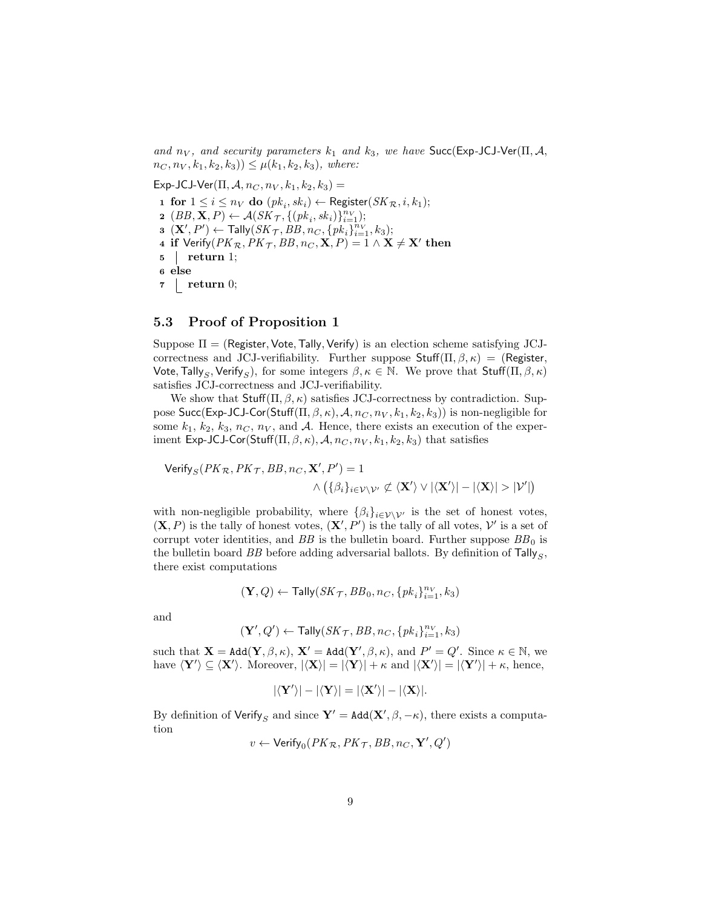and  $n_V$ , and security parameters  $k_1$  and  $k_3$ , we have Succ(Exp-JCJ-Ver( $\Pi$ , A,  $n_C, n_V, k_1, k_2, k_3) \leq \mu(k_1, k_2, k_3),$  where:

Exp-JCJ-Ver( $\Pi$ ,  $\mathcal{A}$ ,  $n_C$ ,  $n_V$ ,  $k_1$ ,  $k_2$ ,  $k_3$ ) =

1 for  $1 \leq i \leq n_V$  do  $(\mathit{pk}_i, \mathit{sk}_i) \leftarrow \mathsf{Register}(SK_\mathcal{R}, i, k_1);$ 

2  $(BB, \mathbf{X}, P) \leftarrow \mathcal{A}(SK_{\mathcal{T}}, \{(pk_i, sk_i)\}_{i=1}^{n_V});$ 

 $\mathbf{a}^{\top}(\mathbf{X}',P') \leftarrow \mathsf{Tally}(SK_\mathcal{T},\overline{BB},n_C,\{pk_i\}_{i=1}^{n_V},k_3);$ 

 $\mathtt{4}$  if  $\mathsf{Verify}(PK_\mathcal{R}, PK_\mathcal{T}, BB, n_C, \mathbf{X}, P) = 1 \land \mathbf{X} \neq \mathbf{X}'$  then

5 return 1;

6 else

 $\tau$  return 0;

### 5.3 Proof of Proposition 1

Suppose  $\Pi$  = (Register, Vote, Tally, Verify) is an election scheme satisfying JCJcorrectness and JCJ-verifiability. Further suppose  $\mathsf{Stuff}(\Pi, \beta, \kappa) = (\mathsf{Register},$ Vote, Tally<sub>S</sub>, Verify<sub>S</sub>), for some integers  $\beta, \kappa \in \mathbb{N}$ . We prove that Stuff(Π,  $\beta, \kappa$ ) satisfies JCJ-correctness and JCJ-verifiability.

We show that  $Stuff(\Pi, \beta, \kappa)$  satisfies JCJ-correctness by contradiction. Suppose Succ(Exp-JCJ-Cor(Stuff(Π,  $\beta$ ,  $\kappa$ ),  $\mathcal{A}$ ,  $n_C$ ,  $n_V$ ,  $k_1$ ,  $k_2$ ,  $k_3$ )) is non-negligible for some  $k_1, k_2, k_3, n_C, n_V$ , and A. Hence, there exists an execution of the experiment Exp-JCJ-Cor(Stuff(Π,  $\beta$ ,  $\kappa$ ),  $\mathcal{A}$ ,  $n_C$ ,  $n_V$ ,  $k_1$ ,  $k_2$ ,  $k_3$ ) that satisfies

$$
\begin{aligned} \mathsf{Verify}_S(PK_{\mathcal{R}}, PK_{\mathcal{T}}, BB, n_C, \mathbf{X}', P') &= 1 \\ &\qquad \qquad \wedge \left(\{\beta_i\}_{i \in \mathcal{V} \backslash \mathcal{V}'} \not\subset \langle \mathbf{X}' \rangle \vee |\langle \mathbf{X}' \rangle| - |\langle \mathbf{X} \rangle| > |\mathcal{V}'| \right) \end{aligned}
$$

with non-negligible probability, where  $\{\beta_i\}_{i\in\mathcal{V}\setminus\mathcal{V}'}$  is the set of honest votes,  $(X, P)$  is the tally of honest votes,  $(X', P')$  is the tally of all votes,  $\mathcal V'$  is a set of corrupt voter identities, and  $BB$  is the bulletin board. Further suppose  $BB_0$  is the bulletin board BB before adding adversarial ballots. By definition of  $\text{Tally}_S$ , there exist computations

$$
(\mathbf{Y},Q) \leftarrow \mathsf{Tally}(\mathit{SK}_{\mathcal{T}},\mathit{BB}_0,n_C,\{pk_i\}_{i=1}^{n_V},k_3)
$$

and

$$
(\mathbf{Y}', Q') \leftarrow \mathsf{Tally}(SK_\mathcal{T}, BB, n_C, \{pk_i\}_{i=1}^{n_V}, k_3)
$$

such that  $X = \text{Add}(Y, \beta, \kappa), X' = \text{Add}(Y', \beta, \kappa), \text{ and } P' = Q'.$  Since  $\kappa \in \mathbb{N}$ , we have  $\langle \mathbf{Y}' \rangle \subseteq \langle \mathbf{X}' \rangle$ . Moreover,  $|\langle \mathbf{X} \rangle| = |\langle \mathbf{Y} \rangle| + \kappa$  and  $|\langle \mathbf{X}' \rangle| = |\langle \mathbf{Y}' \rangle| + \kappa$ , hence,

$$
|\langle \mathbf{Y}' \rangle| - |\langle \mathbf{Y} \rangle| = |\langle \mathbf{X}' \rangle| - |\langle \mathbf{X} \rangle|.
$$

By definition of  $\text{Verify}_S$  and since  $\mathbf{Y}' = \text{Add}(\mathbf{X}', \beta, -\kappa)$ , there exists a computation

$$
v \leftarrow \textsf{Verify}_0(PK_{\mathcal{R}}, PK_{\mathcal{T}}, BB, n_C, \mathbf{Y}', Q')
$$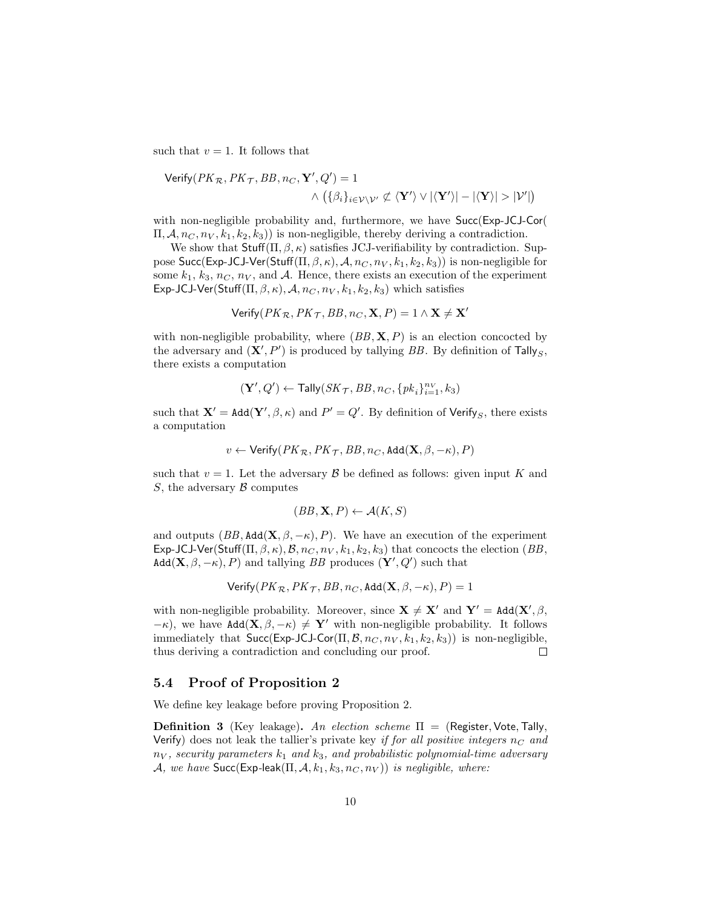such that  $v = 1$ . It follows that

Verify
$$
(PK_{\mathcal{R}}, PK_{\mathcal{T}}, BB, n_C, \mathbf{Y}', Q') = 1
$$
  

$$
\wedge \left( \{ \beta_i \}_{i \in \mathcal{V} \setminus \mathcal{V}'} \not\subset \langle \mathbf{Y}' \rangle \vee |\langle \mathbf{Y}' \rangle| - |\langle \mathbf{Y} \rangle| > |\mathcal{V}'| \right)
$$

with non-negligible probability and, furthermore, we have Succ(Exp-JCJ-Cor(  $\Pi, \mathcal{A}, n_C, n_V, k_1, k_2, k_3$ ) is non-negligible, thereby deriving a contradiction.

We show that  $Stuff(\Pi, \beta, \kappa)$  satisfies JCJ-verifiability by contradiction. Suppose Succ(Exp-JCJ-Ver(Stuff( $\Pi$ ,  $\beta$ ,  $\kappa$ ),  $\mathcal{A}$ ,  $n_C$ ,  $n_V$ ,  $k_1$ ,  $k_2$ ,  $k_3$ )) is non-negligible for some  $k_1, k_3, n_C, n_V$ , and A. Hence, there exists an execution of the experiment Exp-JCJ-Ver(Stuff(Π,  $\beta$ ,  $\kappa$ ),  $\mathcal{A}$ ,  $n_C$ ,  $n_V$ ,  $k_1$ ,  $k_2$ ,  $k_3$ ) which satisfies

Verify
$$
(PK_{\mathcal{R}}, PK_{\mathcal{T}}, BB, n_C, \mathbf{X}, P) = 1 \land \mathbf{X} \neq \mathbf{X}'
$$

with non-negligible probability, where  $(BB, \mathbf{X}, P)$  is an election concocted by the adversary and  $(\mathbf{X}', P')$  is produced by tallying BB. By definition of  $\textsf{Tally}_S$ , there exists a computation

$$
(\mathbf{Y}', Q') \leftarrow \mathsf{Tally}(\mathit{SK}_{\mathcal{T}}, \mathit{BB}, n_C, \{ \mathit{pk}_i \}_{i=1}^{n_V}, k_3)
$$

such that  $X' = \text{Add}(Y', \beta, \kappa)$  and  $P' = Q'$ . By definition of  $\text{Verify}_S$ , there exists a computation

$$
v \leftarrow \text{Verify}(PK_{\mathcal{R}}, PK_{\mathcal{T}}, BB, n_C, \text{Add}(\mathbf{X}, \beta, -\kappa), P)
$$

such that  $v = 1$ . Let the adversary  $\beta$  be defined as follows: given input K and S, the adversary  $\beta$  computes

$$
(BB, \mathbf{X}, P) \leftarrow \mathcal{A}(K, S)
$$

and outputs  $(BB, \text{Add}(\mathbf{X}, \beta, -\kappa), P)$ . We have an execution of the experiment Exp-JCJ-Ver(Stuff(Π, β, κ),  $\mathcal{B}, n_C, n_V, k_1, k_2, k_3$ ) that concocts the election (BB,  $\text{Add}(\mathbf{X}, \beta, -\kappa), P$  and tallying BB produces  $(\mathbf{Y}', Q')$  such that

$$
\mathsf{Verify}(PK_{\mathcal{R}}, PK_{\mathcal{T}}, BB, n_C, \mathsf{Add}(\mathbf{X}, \beta, -\kappa), P) = 1
$$

with non-negligible probability. Moreover, since  $X \neq X'$  and  $Y' = \text{Add}(X', \beta, \mathcal{C})$  $-\kappa$ , we have Add( $X, \beta, -\kappa$ )  $\neq$  Y' with non-negligible probability. It follows immediately that  $Succ(Exp-JCJ-Cor(\Pi, \mathcal{B}, n_C, n_V, k_1, k_2, k_3))$  is non-negligible, thus deriving a contradiction and concluding our proof.  $\Box$ 

#### 5.4 Proof of Proposition 2

We define key leakage before proving Proposition 2.

**Definition 3** (Key leakage). An election scheme  $\Pi$  = (Register, Vote, Tally, Verify) does not leak the tallier's private key if for all positive integers  $n<sub>C</sub>$  and  $n_V$ , security parameters  $k_1$  and  $k_3$ , and probabilistic polynomial-time adversary A, we have Succ(Exp-leak( $\Pi$ ,  $A$ ,  $k_1$ ,  $k_3$ ,  $n_C$ ,  $n_V$ )) is negligible, where: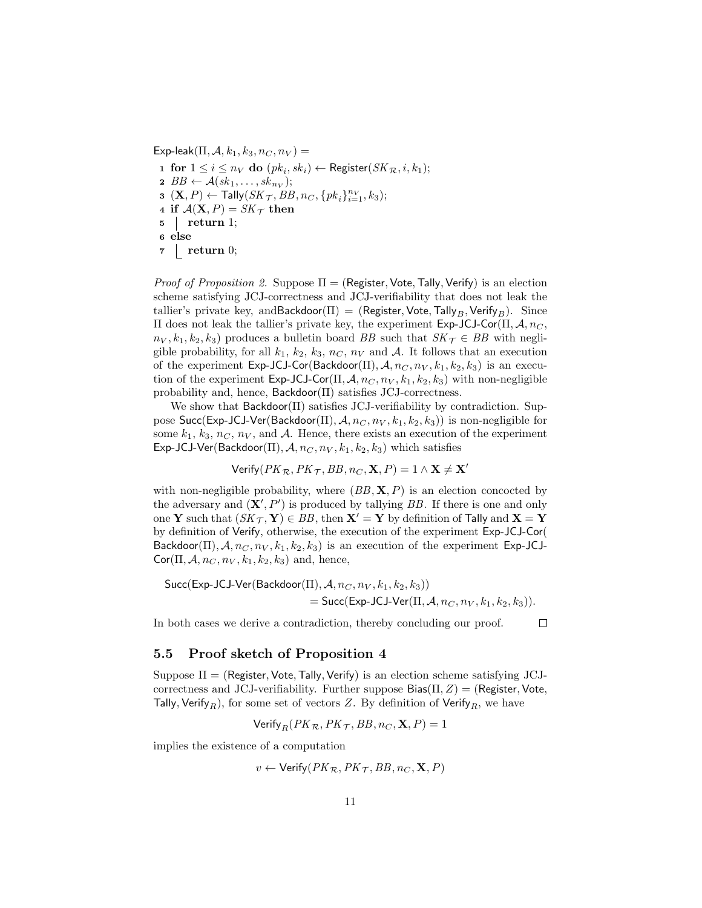$Exp\text{-leak}(\Pi, \mathcal{A}, k_1, k_3, n_C, n_V) =$ 1 for  $1 \leq i \leq n_V$  do  $(\mathit{pk}_i, \mathit{sk}_i) \leftarrow \mathsf{Register}(SK_\mathcal{R}, i, k_1);$  $\mathbf{B} \leftarrow \mathcal{A}(sk_1, \ldots, sk_{n_V});$  $\mathbf{s} \ (\mathbf{X}, P) \leftarrow \mathsf{Tally}(SK_{\mathcal{T}}, BB, n_C, \{pk_i\}_{i=1}^{n_V}, k_3);$ 4 if  $\mathcal{A}(\mathbf{X}, P) = SK_{\mathcal{T}}$  then 5 return 1; 6 else  $7 \mid \text{return } 0;$ 

*Proof of Proposition 2.* Suppose  $\Pi =$  (Register, Vote, Tally, Verify) is an election scheme satisfying JCJ-correctness and JCJ-verifiability that does not leak the tallier's private key, andBackdoor( $\Pi$ ) = (Register, Vote, Tally<sub>B</sub>, Verify<sub>B</sub>). Since  $\Pi$  does not leak the tallier's private key, the experiment Exp-JCJ-Cor( $\Pi$ , A, n<sub>C</sub>,  $n_V, k_1, k_2, k_3$  produces a bulletin board BB such that  $SK_\mathcal{T} \in BB$  with negligible probability, for all  $k_1$ ,  $k_2$ ,  $k_3$ ,  $n<sub>C</sub>$ ,  $n<sub>V</sub>$  and A. It follows that an execution of the experiment Exp-JCJ-Cor(Backdoor( $\Pi$ ),  $A, n_C, n_V, k_1, k_2, k_3$ ) is an execution of the experiment  $Exp-JCJ-Cor(\Pi, \mathcal{A}, n_C, n_V, k_1, k_2, k_3)$  with non-negligible probability and, hence,  $Backdoor(\Pi)$  satisfies JCJ-correctness.

We show that Backdoor(Π) satisfies JCJ-verifiability by contradiction. Suppose Succ(Exp-JCJ-Ver(Backdoor( $\Pi$ ),  $A, n_C, n_V, k_1, k_2, k_3$ )) is non-negligible for some  $k_1, k_3, n_C, n_V$ , and A. Hence, there exists an execution of the experiment Exp-JCJ-Ver(Backdoor(Π),  $A, n_C, n_V, k_1, k_2, k_3$ ) which satisfies

Verify
$$
(PK_{\mathcal{R}}, PK_{\mathcal{T}}, BB, n_C, \mathbf{X}, P) = 1 \land \mathbf{X} \neq \mathbf{X}'
$$

with non-negligible probability, where  $(BB, \mathbf{X}, P)$  is an election concocted by the adversary and  $(\mathbf{X}', P')$  is produced by tallying BB. If there is one and only one Y such that  $(SK_{\mathcal{T}}, Y) \in BB$ , then  $X' = Y$  by definition of Tally and  $X = Y$ by definition of Verify, otherwise, the execution of the experiment Exp-JCJ-Cor( Backdoor(Π),  $A, n_C, n_V, k_1, k_2, k_3$ ) is an execution of the experiment Exp-JCJ- $Cor(\Pi, \mathcal{A}, n_C, n_V, k_1, k_2, k_3)$  and, hence,

$$
Succ(Exp-JCJ-Ver(Backdoor(\Pi), \mathcal{A}, n_C, n_V, k_1, k_2, k_3))
$$
  
= Succ(Exp-JCJ-Ver(\Pi, \mathcal{A}, n\_C, n\_V, k\_1, k\_2, k\_3)).

In both cases we derive a contradiction, thereby concluding our proof.

 $\Box$ 

### 5.5 Proof sketch of Proposition 4

Suppose  $\Pi$  = (Register, Vote, Tally, Verify) is an election scheme satisfying JCJcorrectness and JCJ-verifiability. Further suppose  $Bias(\Pi, Z) = (Register, \text{Vote},$ Tally, Verify<sub>R</sub>), for some set of vectors Z. By definition of Verify<sub>R</sub>, we have

$$
\mathsf{Verify}_R(PK_{\mathcal{R}}, PK_{\mathcal{T}}, BB, n_C, \mathbf{X}, P) = 1
$$

implies the existence of a computation

$$
v \leftarrow \textsf{Verify}(PK_{\mathcal{R}}, PK_{\mathcal{T}}, BB, n_C, \mathbf{X}, P)
$$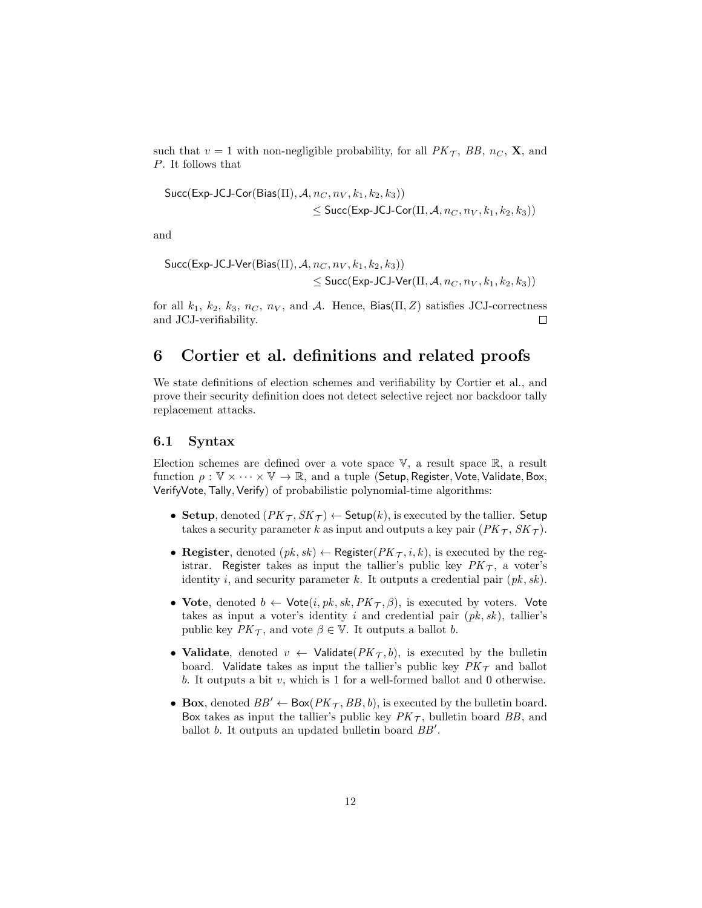such that  $v = 1$  with non-negligible probability, for all  $PK_{\mathcal{T}}$ , BB,  $n_C$ , **X**, and P. It follows that

$$
\begin{aligned} \mathsf{Succ}(\mathsf{Exp}\text{-}\mathsf{J}\mathsf{C}\mathsf{J}\text{-}\mathsf{Cor}(\mathsf{Bias}(\Pi), \mathcal{A}, n_C, n_V, k_1, k_2, k_3)) \\ &\leq \mathsf{Succ}(\mathsf{Exp}\text{-}\mathsf{J}\mathsf{C}\mathsf{J}\text{-}\mathsf{Cor}(\Pi, \mathcal{A}, n_C, n_V, k_1, k_2, k_3)) \end{aligned}
$$

and

$$
\begin{aligned} \mathsf{Succ}(\mathsf{Exp}\text{-}\mathsf{J}\mathsf{C}\mathsf{J}\text{-}\mathsf{Ver}(\mathsf{Bias}(\Pi), \mathcal{A}, n_C, n_V, k_1, k_2, k_3)) \\ & \leq \mathsf{Succ}(\mathsf{Exp}\text{-}\mathsf{J}\mathsf{C}\mathsf{J}\text{-}\mathsf{Ver}(\Pi, \mathcal{A}, n_C, n_V, k_1, k_2, k_3)) \end{aligned}
$$

for all  $k_1$ ,  $k_2$ ,  $k_3$ ,  $n_C$ ,  $n_V$ , and A. Hence, Bias( $\Pi$ , Z) satisfies JCJ-correctness and JCJ-verifiability.  $\Box$ 

## 6 Cortier et al. definitions and related proofs

We state definitions of election schemes and verifiability by Cortier et al., and prove their security definition does not detect selective reject nor backdoor tally replacement attacks.

#### 6.1 Syntax

Election schemes are defined over a vote space V, a result space R, a result function  $\rho : \mathbb{V} \times \cdots \times \mathbb{V} \to \mathbb{R}$ , and a tuple (Setup, Register, Vote, Validate, Box, VerifyVote,Tally, Verify) of probabilistic polynomial-time algorithms:

- Setup, denoted  $(PK_{\mathcal{T}}, SK_{\mathcal{T}}) \leftarrow$  Setup $(k)$ , is executed by the tallier. Setup takes a security parameter k as input and outputs a key pair  $(PK_{\mathcal{T}}, SK_{\mathcal{T}})$ .
- Register, denoted  $(pk, sk) \leftarrow$  Register $(PK_{\tau}, i, k)$ , is executed by the registrar. Register takes as input the tallier's public key  $PK_{\tau}$ , a voter's identity i, and security parameter k. It outputs a credential pair  $(pk, sk)$ .
- Vote, denoted  $b \leftarrow \text{Vote}(i, pk, sk, PK_{T}, \beta)$ , is executed by voters. Vote takes as input a voter's identity i and credential pair  $(pk, sk)$ , tallier's public key  $PK_{\mathcal{T}}$ , and vote  $\beta \in \mathbb{V}$ . It outputs a ballot b.
- Validate, denoted  $v \leftarrow$  Validate( $PK_{\tau}, b$ ), is executed by the bulletin board. Validate takes as input the tallier's public key  $PK_{\tau}$  and ballot b. It outputs a bit  $v$ , which is 1 for a well-formed ballot and 0 otherwise.
- Box, denoted  $BB' \leftarrow Box(PK_{\mathcal{T}}, BB, b)$ , is executed by the bulletin board. Box takes as input the tallier's public key  $PK_{\tau}$ , bulletin board BB, and ballot  $b$ . It outputs an updated bulletin board  $BB'$ .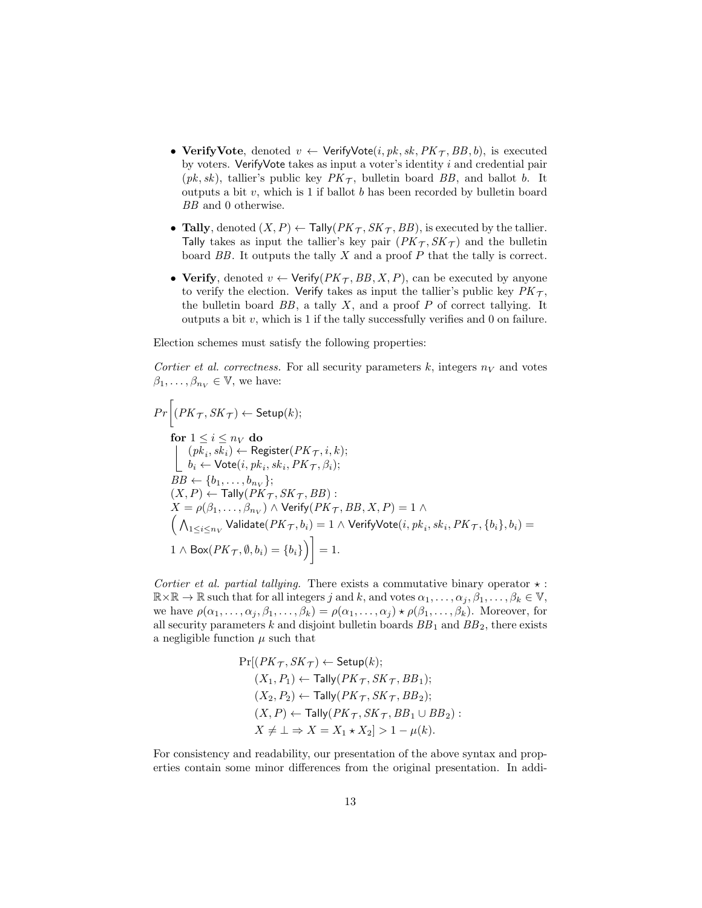- VerifyVote, denoted  $v \leftarrow$  VerifyVote $(i, pk, sk, PK_{T}, BB, b)$ , is executed by voters. VerifyVote takes as input a voter's identity  $i$  and credential pair  $(pk, sk)$ , tallier's public key  $PK_{\mathcal{T}}$ , bulletin board BB, and ballot b. It outputs a bit  $v$ , which is 1 if ballot  $b$  has been recorded by bulletin board BB and 0 otherwise.
- Tally, denoted  $(X, P) \leftarrow \text{Tally}(PK_{\mathcal{T}}, SK_{\mathcal{T}}, BB)$ , is executed by the tallier. Tally takes as input the tallier's key pair  $(PK_{\mathcal{T}}, SK_{\mathcal{T}})$  and the bulletin board  $BB$ . It outputs the tally  $X$  and a proof  $P$  that the tally is correct.
- Verify, denoted  $v \leftarrow$  Verify( $PK_{\mathcal{T}}, BB, X, P$ ), can be executed by anyone to verify the election. Verify takes as input the tallier's public key  $PK_{\mathcal{T}}$ , the bulletin board  $BB$ , a tally X, and a proof P of correct tallying. It outputs a bit  $v$ , which is 1 if the tally successfully verifies and 0 on failure.

Election schemes must satisfy the following properties:

Cortier et al. correctness. For all security parameters k, integers  $n<sub>V</sub>$  and votes  $\beta_1, \ldots, \beta_{n_V} \in \mathbb{V}$ , we have:

$$
Pr\bigg[(PK_{\mathcal{T}}, SK_{\mathcal{T}}) \leftarrow \text{Setup}(k); \nfor 1 \leq i \leq n_V \text{ do} \n(pk_i, sk_i) \leftarrow \text{Register}(PK_{\mathcal{T}}, i, k); \nb_i \leftarrow \text{Vote}(i, pk_i, sk_i, PK_{\mathcal{T}}, \beta_i); \nBB \leftarrow \{b_1, \ldots, b_{n_V}\}; \n(X, P) \leftarrow \text{Tally}(PK_{\mathcal{T}}, SK_{\mathcal{T}}, BB) : \nX = \rho(\beta_1, \ldots, \beta_{n_V}) \land \text{Verify}(PK_{\mathcal{T}}, BB, X, P) = 1 \land \n(\bigwedge_{1 \leq i \leq n_V} \text{Validate}(PK_{\mathcal{T}}, b_i) = 1 \land \text{VerifyVote}(i, pk_i, sk_i, PK_{\mathcal{T}}, \{b_i\}, b_i) = \n1 \land \text{Box}(PK_{\mathcal{T}}, \emptyset, b_i) = \{b_i\}\bigg)\bigg] = 1.
$$

Cortier et al. partial tallying. There exists a commutative binary operator  $\star$ :  $\mathbb{R}\times\mathbb{R}\to\mathbb{R}$  such that for all integers j and k, and votes  $\alpha_1,\ldots,\alpha_j,\beta_1,\ldots,\beta_k\in\mathbb{V}$ , we have  $\rho(\alpha_1,\ldots,\alpha_j,\beta_1,\ldots,\beta_k) = \rho(\alpha_1,\ldots,\alpha_j) \star \rho(\beta_1,\ldots,\beta_k)$ . Moreover, for all security parameters k and disjoint bulletin boards  $BB<sub>1</sub>$  and  $BB<sub>2</sub>$ , there exists a negligible function  $\mu$  such that

$$
Pr[(PK_{\mathcal{T}}, SK_{\mathcal{T}}) \leftarrow Setup(k);
$$
  

$$
(X_1, P_1) \leftarrow \text{Tally}(PK_{\mathcal{T}}, SK_{\mathcal{T}}, BB_1);
$$
  

$$
(X_2, P_2) \leftarrow \text{Tally}(PK_{\mathcal{T}}, SK_{\mathcal{T}}, BB_2);
$$
  

$$
(X, P) \leftarrow \text{Tally}(PK_{\mathcal{T}}, SK_{\mathcal{T}}, BB_1 \cup BB_2);
$$
  

$$
X \neq \bot \Rightarrow X = X_1 \star X_2] > 1 - \mu(k).
$$

For consistency and readability, our presentation of the above syntax and properties contain some minor differences from the original presentation. In addi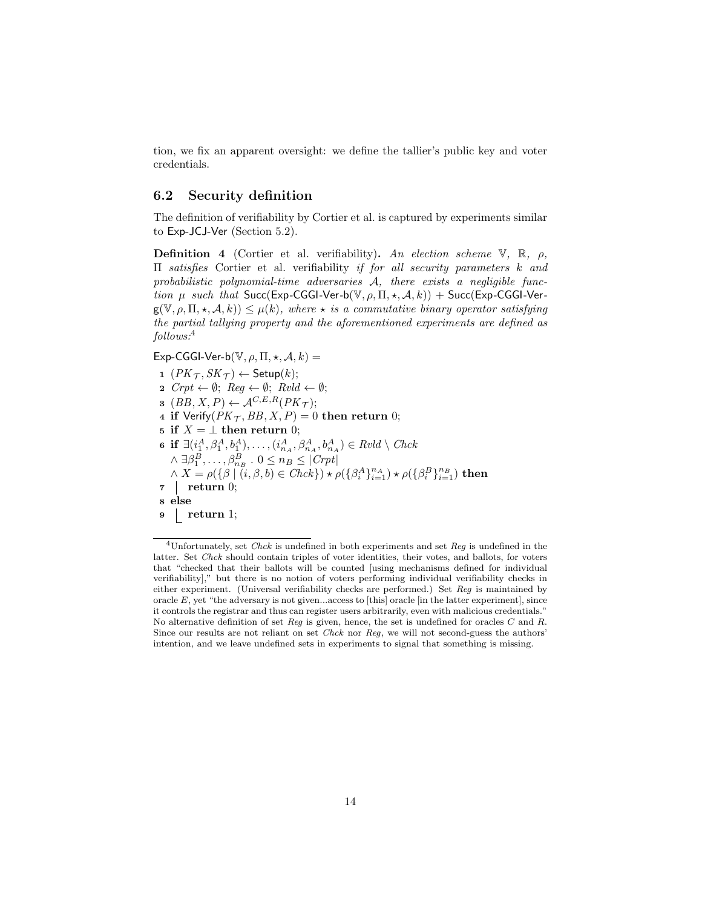tion, we fix an apparent oversight: we define the tallier's public key and voter credentials.

### 6.2 Security definition

The definition of verifiability by Cortier et al. is captured by experiments similar to Exp-JCJ-Ver (Section 5.2).

**Definition 4** (Cortier et al. verifiability). An election scheme  $V$ ,  $\mathbb{R}$ ,  $\rho$ , Π satisfies Cortier et al. verifiability if for all security parameters k and probabilistic polynomial-time adversaries  $A$ , there exists a negligible function  $\mu$  such that Succ(Exp-CGGI-Ver-b(V,  $\rho$ ,  $\Pi$ ,  $\star$ ,  $\mathcal{A}$ ,  $k$ )) + Succ(Exp-CGGI-Ver $g(\mathbb{V}, \rho, \Pi, \star, \mathcal{A}, k)) \leq \mu(k)$ , where  $\star$  is a commutative binary operator satisfying the partial tallying property and the aforementioned experiments are defined as follows:<sup>4</sup>

 $Exp\text{-}CGG\text{-}Ver-b(\mathbb{V}, \rho, \Pi, \star, \mathcal{A}, k) =$ 

1  $(PK_{\mathcal{T}}, SK_{\mathcal{T}}) \leftarrow$  Setup $(k)$ ; 2  $C r pt \leftarrow \emptyset; Reg \leftarrow \emptyset; Rvld \leftarrow \emptyset;$  $(BB, X, P) \leftarrow \mathcal{A}^{C, E, R}(PK_{\mathcal{T}});$ 4 if Verify( $PK_{\mathcal{T}}$ ,  $BB, X, P$ ) = 0 then return 0; 5 if  $X = \perp$  then return 0; 6 if  $\exists (i_1^A, \beta_1^A, b_1^A), \ldots, (i_{n_A}^A, \beta_{n_A}^A, b_{n_A}^A) \in \mathit{Rvld} \setminus \mathit{Chck}$  $\wedge \exists \beta_1^B, \ldots, \beta_{n_B}^B \cdot 0 \leq n_B \leq |C r p t|$  $\wedge X = \rho(\{\beta \mid (i, \beta, b) \in Chck\}) \star \rho(\{\beta_i^A\}_{i=1}^{n_A}) \star \rho(\{\beta_i^B\}_{i=1}^{n_B})$  then  $\tau$  | return 0; 8 else 9 return 1;

 ${}^{4}{\rm Unforward}$  y, set  $\it Chck$  is undefined in both experiments and set  $Reg$  is undefined in the latter. Set Chck should contain triples of voter identities, their votes, and ballots, for voters that "checked that their ballots will be counted [using mechanisms defined for individual verifiability]," but there is no notion of voters performing individual verifiability checks in either experiment. (Universal verifiability checks are performed.) Set Reg is maintained by oracle  $E$ , yet "the adversary is not given...access to [this] oracle [in the latter experiment], since it controls the registrar and thus can register users arbitrarily, even with malicious credentials." No alternative definition of set  $Reg$  is given, hence, the set is undefined for oracles  $C$  and  $R$ . Since our results are not reliant on set Chck nor Reg, we will not second-guess the authors' intention, and we leave undefined sets in experiments to signal that something is missing.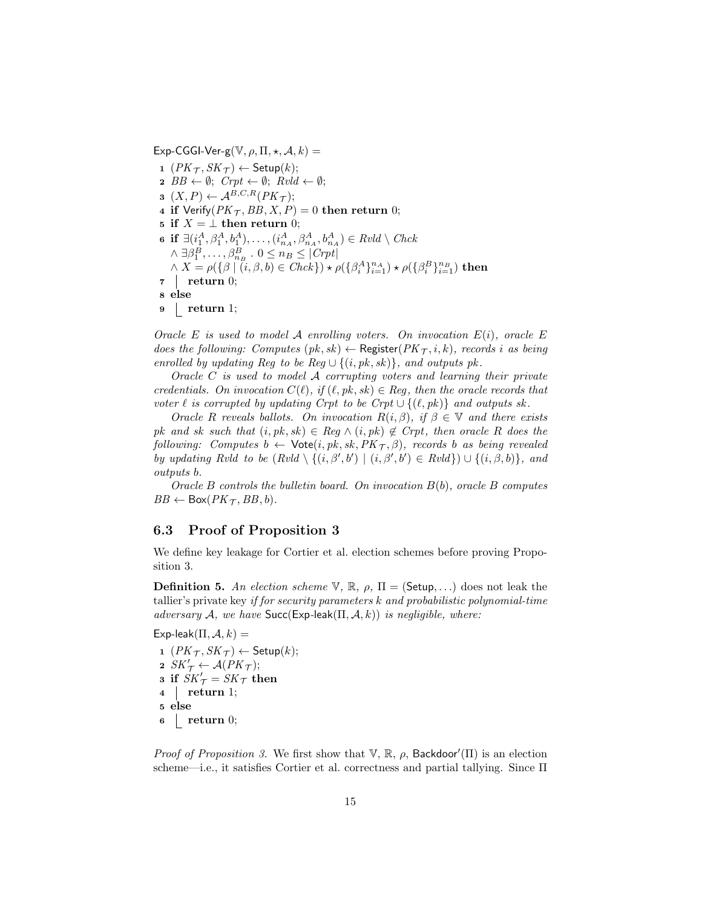Exp-CGGI-Ver-g( $\mathbb{V}, \rho, \Pi, \star, \mathcal{A}, k$ ) = 1  $(PK_{\mathcal{T}}, SK_{\mathcal{T}}) \leftarrow$  Setup $(k)$ ;  $\mathbf{2} \quad BB \leftarrow \emptyset; \quad Crpt \leftarrow \emptyset; \quad Rvld \leftarrow \emptyset;$  $(X, P) \leftarrow \mathcal{A}^{B,C,R}(PK_{\mathcal{T}});$ 4 if Verify( $PK_{\mathcal{T}}$ ,  $BB, X, P$ ) = 0 then return 0; 5 if  $X = \perp$  then return 0; 6 if  $\exists (i_1^A, \beta_1^A, b_1^A), \ldots, (i_{n_A}^A, \beta_{n_A}^A, b_{n_A}^A) \in \mathit{Rvld} \setminus \mathit{Chck}$  $\wedge \exists \beta_1^B, \ldots, \beta_{n_B}^B \cdot 0 \leq n_B \leq |C r p t|$  $\wedge X = \rho(\{\beta \mid (\ell, \beta, b) \in \text{Chck}\}) \star \rho(\{\beta_i^A\}_{i=1}^{n_A}) \star \rho(\{\beta_i^B\}_{i=1}^{n_B})$  then  $\tau$  return 0; 8 else 9 return 1;

Oracle E is used to model A enrolling voters. On invocation  $E(i)$ , oracle E does the following: Computes  $(pk, sk) \leftarrow$  Register( $PK_{\mathcal{T}}, i, k$ ), records i as being enrolled by updating Reg to be Reg  $\cup \{(i, pk, sk)\}\$ , and outputs pk.

Oracle C is used to model A corrupting voters and learning their private credentials. On invocation  $C(\ell)$ , if  $(\ell, pk, sk) \in Reg$ , then the oracle records that voter  $\ell$  is corrupted by updating Crpt to be Crpt  $\cup \{(\ell, pk)\}\$ and outputs sk.

Oracle R reveals ballots. On invocation  $R(i, \beta)$ , if  $\beta \in \mathbb{V}$  and there exists pk and sk such that  $(i, pk, sk) \in Reg \wedge (i, pk) \notin Crt$ , then oracle R does the following: Computes  $b \leftarrow \text{Vote}(i, pk, sk, PK_{\mathcal{T}}, \beta)$ , records b as being revealed by updating Rvld to be  $(Rvld \setminus \{(i, \beta', b') | (i, \beta', b') \in Rvld\}) \cup \{(i, \beta, b)\},$  and outputs b.

Oracle B controls the bulletin board. On invocation  $B(b)$ , oracle B computes  $BB \leftarrow Box(PK_{\tau}, BB, b).$ 

### 6.3 Proof of Proposition 3

We define key leakage for Cortier et al. election schemes before proving Proposition 3.

**Definition 5.** An election scheme V,  $\mathbb{R}$ ,  $\rho$ ,  $\Pi = (\mathsf{Setup}, \dots)$  does not leak the tallier's private key if for security parameters k and probabilistic polynomial-time adversary A, we have  $Succ(Exp-leak(\Pi, \mathcal{A}, k))$  is negligible, where:

Exp-leak $(\Pi, \mathcal{A}, k)$  =

 $(PK_{\mathcal{T}}, SK_{\mathcal{T}}) \leftarrow$  Setup $(k);$  $SK'_{\mathcal{T}} \leftarrow \mathcal{A}(PK_{\mathcal{T}});$ a if  $\overline{SK}_{\mathcal{T}}' = \overline{SK}_{\mathcal{T}}$  then return 1; <sup>5</sup> else return 0;

Proof of Proposition 3. We first show that  $\mathbb{V}, \mathbb{R}, \rho$ , Backdoor'(II) is an election scheme—i.e., it satisfies Cortier et al. correctness and partial tallying. Since Π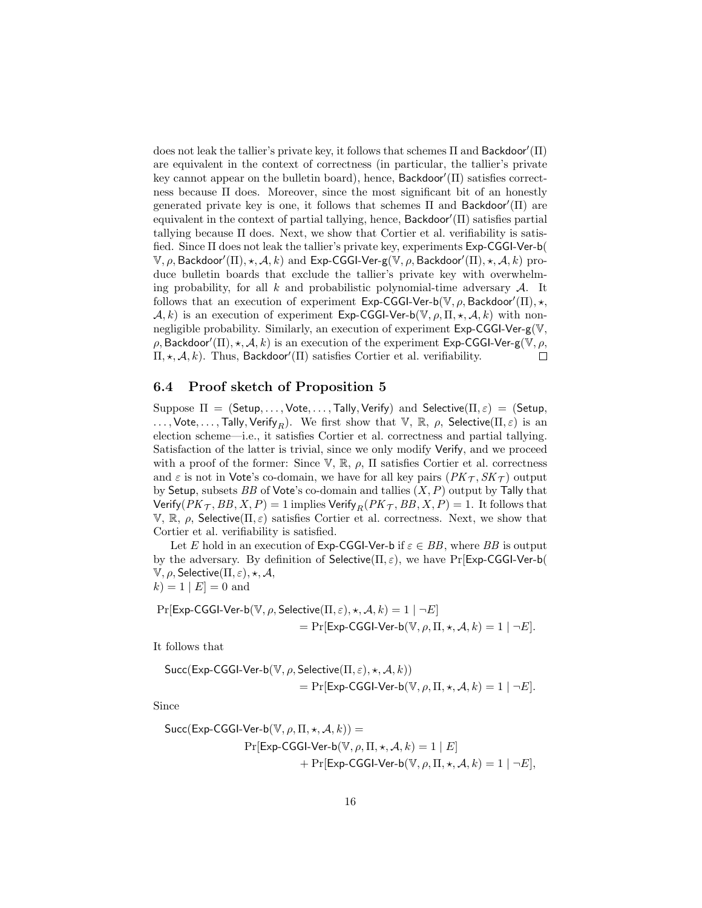does not leak the tallier's private key, it follows that schemes  $\Pi$  and  $\mathsf{Backdoor}'(\Pi)$ are equivalent in the context of correctness (in particular, the tallier's private key cannot appear on the bulletin board), hence,  $\textsf{Backdoor}'(\Pi)$  satisfies correctness because Π does. Moreover, since the most significant bit of an honestly generated private key is one, it follows that schemes  $\Pi$  and Backdoor'( $\Pi$ ) are equivalent in the context of partial tallying, hence,  $\textsf{Backdoor}'(\Pi)$  satisfies partial tallying because  $\Pi$  does. Next, we show that Cortier et al. verifiability is satisfied. Since Π does not leak the tallier's private key, experiments Exp-CGGI-Ver-b(  $\Bbb W, \rho,$  Backdoor' $(\Pi), \star, \mathcal A, k)$  and Exp-CGGI-Ver-g $(\Bbb V, \rho,$  Backdoor' $(\Pi), \star, \mathcal A, k)$  produce bulletin boards that exclude the tallier's private key with overwhelming probability, for all k and probabilistic polynomial-time adversary  $\mathcal{A}$ . It follows that an execution of experiment  $Exp-CGGI-Ver-b(W, \rho, Backdoor'(II), \star,$  $(A, k)$  is an execution of experiment Exp-CGGI-Ver-b( $\mathbb{V}, \rho, \Pi, \star, \mathcal{A}, k$ ) with nonnegligible probability. Similarly, an execution of experiment Exp-CGGI-Ver-g(V,  $\rho$ , Backdoor'(II),  $\star$ ,  $\mathcal{A}, k$ ) is an execution of the experiment Exp-CGGI-Ver-g( $\bar{\mathbb{V}}, \rho$ ,  $\Pi, \star, \mathcal{A}, k$ ). Thus, Backdoor'( $\Pi$ ) satisfies Cortier et al. verifiability.  $\Box$ 

### 6.4 Proof sketch of Proposition 5

Suppose  $\Pi = ($ Setup, ..., Vote, ..., Tally, Verify) and Selective( $\Pi, \varepsilon$ ) = (Setup, ..., Vote, ..., Tally, Verify<sub>R</sub>). We first show that V, R,  $\rho$ , Selective( $\Pi, \varepsilon$ ) is an election scheme—i.e., it satisfies Cortier et al. correctness and partial tallying. Satisfaction of the latter is trivial, since we only modify Verify, and we proceed with a proof of the former: Since  $\mathbb{V}, \mathbb{R}, \rho, \Pi$  satisfies Cortier et al. correctness and  $\varepsilon$  is not in Vote's co-domain, we have for all key pairs  $(PK_{\tau}, SK_{\tau})$  output by Setup, subsets BB of Vote's co-domain and tallies  $(X, P)$  output by Tally that Verify( $PK_{\mathcal{T}}, BB, X, P$ ) = 1 implies Verify<sub>R</sub>( $PK_{\mathcal{T}}, BB, X, P$ ) = 1. It follows that V, R,  $ρ$ , Selective(Π, ε) satisfies Cortier et al. correctness. Next, we show that Cortier et al. verifiability is satisfied.

Let E hold in an execution of Exp-CGGI-Ver-b if  $\varepsilon \in BB$ , where BB is output by the adversary. By definition of Selective( $\Pi, \varepsilon$ ), we have Pr[Exp-CGGI-Ver-b(  $\mathbb{V}, \rho,$  Selective $(\Pi, \varepsilon), \star, \mathcal{A},$  $k) = 1 | E = 0$  and

$$
\begin{aligned} \Pr[\mathsf{Exp}\text{-}\mathsf{CGGI}\text{-}\mathsf{Ver}\text{-}\mathsf{b}(\mathbb{V},\rho, \mathsf{Selective}(\Pi,\varepsilon),\star,\mathcal{A},k)=1\mid\neg E] \\ =\Pr[\mathsf{Exp}\text{-}\mathsf{CGGI}\text{-}\mathsf{Ver}\text{-}\mathsf{b}(\mathbb{V},\rho,\Pi,\star,\mathcal{A},k)=1\mid\neg E]. \end{aligned}
$$

It follows that

$$
\begin{aligned} \mathsf{Succ}(\mathsf{Exp}\text{-}\mathsf{CGGI}\text{-}\mathsf{Ver}\text{-}\mathsf{b}(\mathbb{V},\rho, \mathsf{Selective}(\Pi,\varepsilon),\star,\mathcal{A},k)) \\ &= \Pr[\mathsf{Exp}\text{-}\mathsf{CGGI}\text{-}\mathsf{Ver}\text{-}\mathsf{b}(\mathbb{V},\rho,\Pi,\star,\mathcal{A},k) = 1 \mid \neg E]. \end{aligned}
$$

Since

$$
Succ(Exp-CGGI-Ver-b(\mathbb{V}, \rho, \Pi, \star, \mathcal{A}, k)) =
$$
  
Pr[Exp-CGGI-Ver-b(\mathbb{V}, \rho, \Pi, \star, \mathcal{A}, k) = 1 | E]  
+ Pr[Exp-CGGI-Ver-b(\mathbb{V}, \rho, \Pi, \star, \mathcal{A}, k) = 1 | \neg E],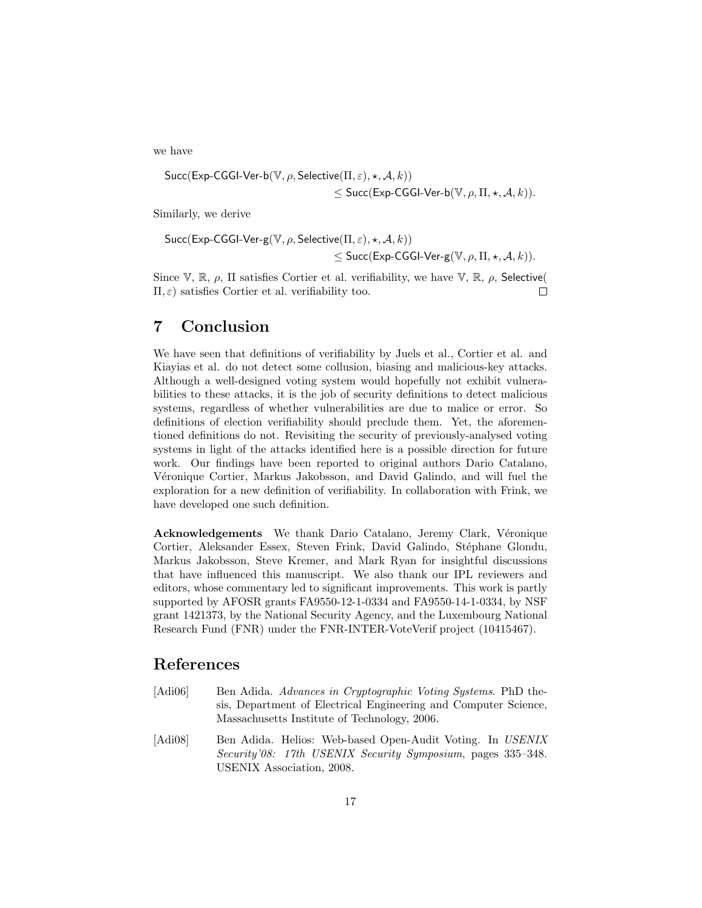we have

$$
\begin{aligned} \mathsf{Succ}(\mathsf{Exp}\text{-}\mathsf{CGGI}\text{-}\mathsf{Ver}\text{-}\mathsf{b}(\mathbb{V},\rho, \mathsf{Selective}(\Pi,\varepsilon),\star,\mathcal{A},k)) \\ &\leq \mathsf{Succ}(\mathsf{Exp}\text{-}\mathsf{CGGI}\text{-}\mathsf{Ver}\text{-}\mathsf{b}(\mathbb{V},\rho,\Pi,\star,\mathcal{A},k)). \end{aligned}
$$

Similarly, we derive

$$
\begin{aligned} \mathsf{Succ}(\mathsf{Exp}\text{-}\mathsf{CGGI}\text{-}\mathsf{Ver}\text{-}\mathsf{g}(\mathbb{V}, \rho, \mathsf{Selective}(\Pi,\varepsilon), \star, \mathcal{A}, k)) \\ &\leq \mathsf{Succ}(\mathsf{Exp}\text{-}\mathsf{CGGI}\text{-}\mathsf{Ver}\text{-}\mathsf{g}(\mathbb{V}, \rho, \Pi, \star, \mathcal{A}, k)). \end{aligned}
$$

Since V, R,  $\rho$ , II satisfies Cortier et al. verifiability, we have V, R,  $\rho$ , Selective( Π, ε) satisfies Cortier et al. verifiability too.  $\Box$ 

## 7 Conclusion

We have seen that definitions of verifiability by Juels et al., Cortier et al. and Kiayias et al. do not detect some collusion, biasing and malicious-key attacks. Although a well-designed voting system would hopefully not exhibit vulnerabilities to these attacks, it is the job of security definitions to detect malicious systems, regardless of whether vulnerabilities are due to malice or error. So definitions of election verifiability should preclude them. Yet, the aforementioned definitions do not. Revisiting the security of previously-analysed voting systems in light of the attacks identified here is a possible direction for future work. Our findings have been reported to original authors Dario Catalano, Véronique Cortier, Markus Jakobsson, and David Galindo, and will fuel the exploration for a new definition of verifiability. In collaboration with Frink, we have developed one such definition.

Acknowledgements We thank Dario Catalano, Jeremy Clark, Véronique Cortier, Aleksander Essex, Steven Frink, David Galindo, Stéphane Glondu, Markus Jakobsson, Steve Kremer, and Mark Ryan for insightful discussions that have influenced this manuscript. We also thank our IPL reviewers and editors, whose commentary led to significant improvements. This work is partly supported by AFOSR grants FA9550-12-1-0334 and FA9550-14-1-0334, by NSF grant 1421373, by the National Security Agency, and the Luxembourg National Research Fund (FNR) under the FNR-INTER-VoteVerif project (10415467).

## References

- [Adi06] Ben Adida. Advances in Cryptographic Voting Systems. PhD thesis, Department of Electrical Engineering and Computer Science, Massachusetts Institute of Technology, 2006.
- [Adi08] Ben Adida. Helios: Web-based Open-Audit Voting. In USENIX Security'08: 17th USENIX Security Symposium, pages 335–348. USENIX Association, 2008.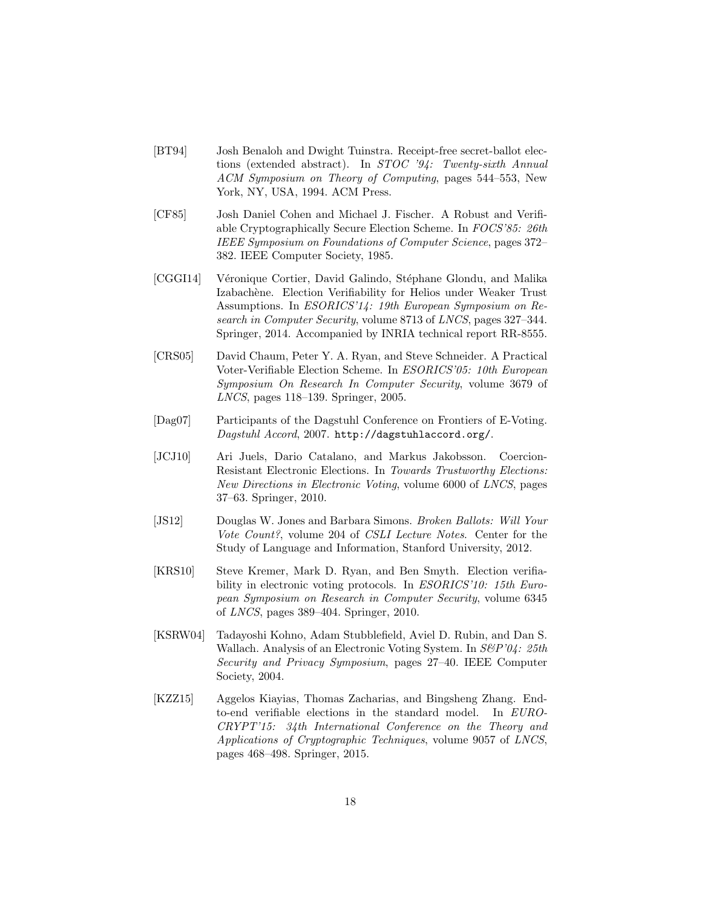- [BT94] Josh Benaloh and Dwight Tuinstra. Receipt-free secret-ballot elections (extended abstract). In STOC '94: Twenty-sixth Annual ACM Symposium on Theory of Computing, pages 544–553, New York, NY, USA, 1994. ACM Press.
- [CF85] Josh Daniel Cohen and Michael J. Fischer. A Robust and Verifiable Cryptographically Secure Election Scheme. In FOCS'85: 26th IEEE Symposium on Foundations of Computer Science, pages 372– 382. IEEE Computer Society, 1985.
- [CGGI14] Véronique Cortier, David Galindo, Stéphane Glondu, and Malika Izabachène. Election Verifiability for Helios under Weaker Trust Assumptions. In ESORICS'14: 19th European Symposium on Research in Computer Security, volume 8713 of LNCS, pages 327–344. Springer, 2014. Accompanied by INRIA technical report RR-8555.
- [CRS05] David Chaum, Peter Y. A. Ryan, and Steve Schneider. A Practical Voter-Verifiable Election Scheme. In ESORICS'05: 10th European Symposium On Research In Computer Security, volume 3679 of LNCS, pages 118–139. Springer, 2005.
- [Dag07] Participants of the Dagstuhl Conference on Frontiers of E-Voting. Dagstuhl Accord, 2007. http://dagstuhlaccord.org/.
- [JCJ10] Ari Juels, Dario Catalano, and Markus Jakobsson. Coercion-Resistant Electronic Elections. In Towards Trustworthy Elections: New Directions in Electronic Voting, volume 6000 of LNCS, pages 37–63. Springer, 2010.
- [JS12] Douglas W. Jones and Barbara Simons. Broken Ballots: Will Your Vote Count?, volume 204 of CSLI Lecture Notes. Center for the Study of Language and Information, Stanford University, 2012.
- [KRS10] Steve Kremer, Mark D. Ryan, and Ben Smyth. Election verifiability in electronic voting protocols. In ESORICS'10: 15th European Symposium on Research in Computer Security, volume 6345 of LNCS, pages 389–404. Springer, 2010.
- [KSRW04] Tadayoshi Kohno, Adam Stubblefield, Aviel D. Rubin, and Dan S. Wallach. Analysis of an Electronic Voting System. In  $S\&P'04: 25th$ Security and Privacy Symposium, pages 27–40. IEEE Computer Society, 2004.
- [KZZ15] Aggelos Kiayias, Thomas Zacharias, and Bingsheng Zhang. Endto-end verifiable elections in the standard model. In EURO-CRYPT'15: 34th International Conference on the Theory and Applications of Cryptographic Techniques, volume 9057 of LNCS, pages 468–498. Springer, 2015.